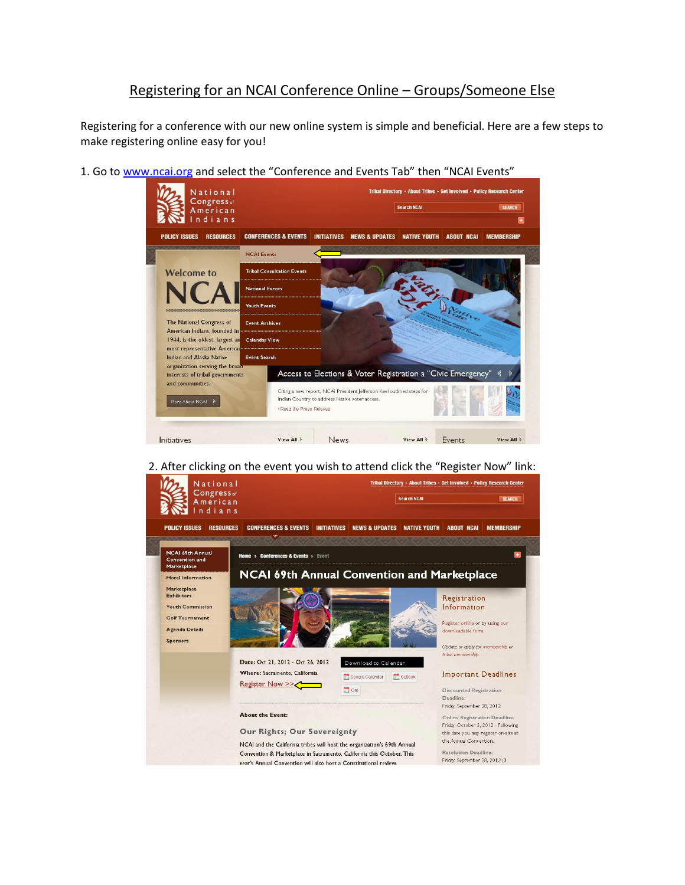## Registering for an NCAI Conference Online – Groups/Someone Else

Registering for a conference with our new online system is simple and beneficial. Here are a few steps to make registering online easy for you!

1. Go to [www.ncai.org](http://www.ncai.org/) and select the "Conference and Events Tab" then "NCAI Events"



2. After clicking on the event you wish to attend click the "Register Now" link:

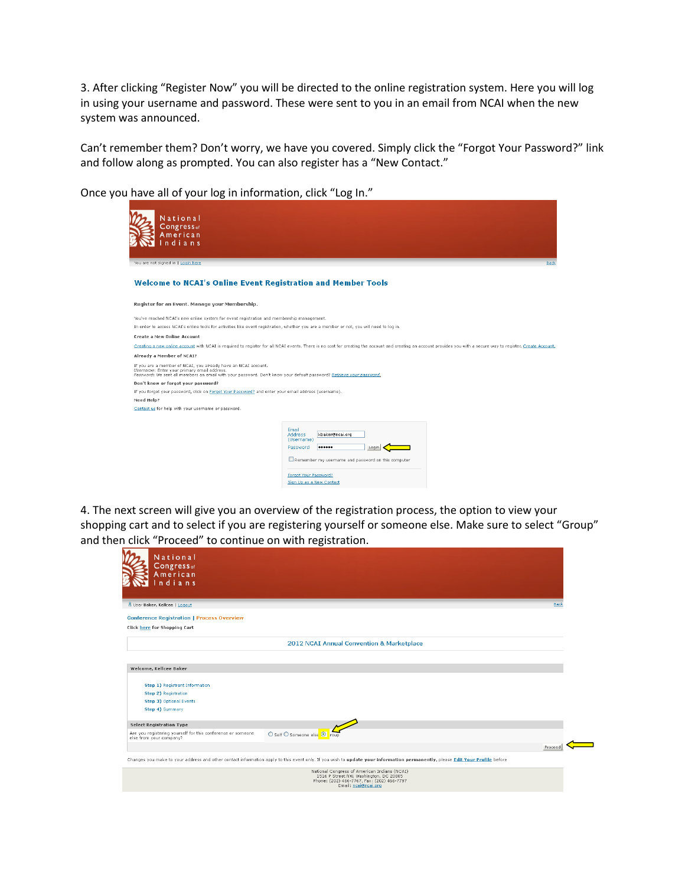3. After clicking "Register Now" you will be directed to the online registration system. Here you will log in using your username and password. These were sent to you in an email from NCAI when the new system was announced.

Can't remember them? Don't worry, we have you covered. Simply click the "Forgot Your Password?" link and follow along as prompted. You can also register has a "New Contact."



Once you have all of your log in information, click "Log In."

4. The next screen will give you an overview of the registration process, the option to view your shopping cart and to select if you are registering yourself or someone else. Make sure to select "Group" and then click "Proceed" to continue on with registration.

| National<br>$\mathsf{Congress}_{\mathsf{of}}$<br>American<br>ndians                    |                                                                                                                                                                              |      |
|----------------------------------------------------------------------------------------|------------------------------------------------------------------------------------------------------------------------------------------------------------------------------|------|
| 8 User Baker, Kellcee   Logout                                                         |                                                                                                                                                                              | Back |
| <b>Conference Registration   Process Overview</b>                                      |                                                                                                                                                                              |      |
| Click here for Shopping Cart                                                           |                                                                                                                                                                              |      |
|                                                                                        | 2012 NCAI Annual Convention & Marketplace                                                                                                                                    |      |
|                                                                                        |                                                                                                                                                                              |      |
| Welcome, Kellcee Baker                                                                 |                                                                                                                                                                              |      |
|                                                                                        |                                                                                                                                                                              |      |
| Step 1) Registrant Information                                                         |                                                                                                                                                                              |      |
| Step 2) Registration                                                                   |                                                                                                                                                                              |      |
| Step 3) Optional Events<br>Step 4) Summary                                             |                                                                                                                                                                              |      |
|                                                                                        |                                                                                                                                                                              |      |
| <b>Select Registration Type</b>                                                        |                                                                                                                                                                              |      |
| Are you registering yourself for this conference or someone<br>else from your company? | O Self O Someone else <sup>⊙</sup><br>roup                                                                                                                                   |      |
|                                                                                        | Proceed                                                                                                                                                                      |      |
|                                                                                        | Changes you make to your address and other contact information apply to this event only. If you wish to update your information permanently, please Edit Your Profile before |      |
|                                                                                        | National Congress of American Indians (NCAI)<br>1516 P Street NW, Washington, DC 20005<br>Phone: (202) 466-7767, Fax: (202) 466-7797<br>Email: ncai@ncai.org                 |      |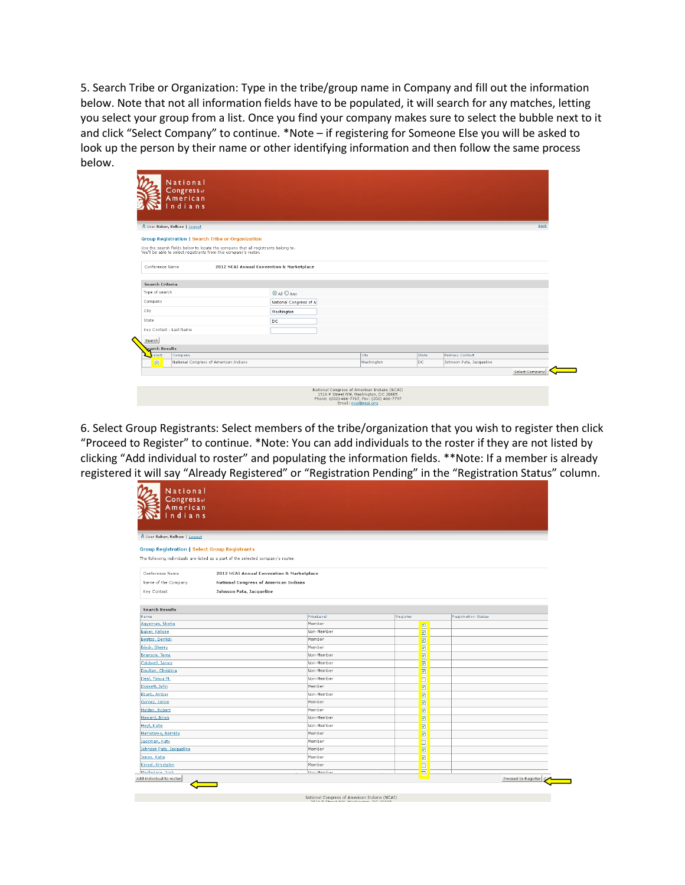5. Search Tribe or Organization: Type in the tribe/group name in Company and fill out the information below. Note that not all information fields have to be populated, it will search for any matches, letting you select your group from a list. Once you find your company makes sure to select the bubble next to it and click "Select Company" to continue. \*Note – if registering for Someone Else you will be asked to look up the person by their name or other identifying information and then follow the same process below.

| 8 User Baker, Kellcee   Logout                                                                                                                        |                                           |            |       |                          | Back |
|-------------------------------------------------------------------------------------------------------------------------------------------------------|-------------------------------------------|------------|-------|--------------------------|------|
| Group Registration   Search Tribe or Organization                                                                                                     |                                           |            |       |                          |      |
| Use the search fields below to locate the company that all registrants belong to.<br>You'll be able to select registrants from this company's roster. |                                           |            |       |                          |      |
| Conference Name                                                                                                                                       | 2012 NCAI Annual Convention & Marketplace |            |       |                          |      |
| Search Criteria                                                                                                                                       |                                           |            |       |                          |      |
| Type of search                                                                                                                                        | $\odot$ All $\bigcirc$ Any                |            |       |                          |      |
| Company                                                                                                                                               | National Congress of A                    |            |       |                          |      |
| City                                                                                                                                                  | Washington                                |            |       |                          |      |
| State                                                                                                                                                 | DC.                                       |            |       |                          |      |
| Key Contact - Last Name                                                                                                                               |                                           |            |       |                          |      |
| Search                                                                                                                                                |                                           |            |       |                          |      |
| <b>Search Results</b>                                                                                                                                 |                                           |            |       |                          |      |
| Select<br>Company                                                                                                                                     |                                           | City       | State | <b>Primary Contact</b>   |      |
| National Congress of American Indians<br>$\bullet$                                                                                                    |                                           | Washington | lpc.  | Johnson Pata, Jacqueline |      |

6. Select Group Registrants: Select members of the tribe/organization that you wish to register then click "Proceed to Register" to continue. \*Note: You can add individuals to the roster if they are not listed by clicking "Add individual to roster" and populating the information fields. \*\*Note: If a member is already registered it will say "Already Registered" or "Registration Pending" in the "Registration Status" column.

| Congress <sub>of</sub><br>American<br>Indians                                     |                                                                                  |                      |               |                            |
|-----------------------------------------------------------------------------------|----------------------------------------------------------------------------------|----------------------|---------------|----------------------------|
| 8 User Baker, Kellcee   Logout                                                    |                                                                                  |                      |               |                            |
| <b>Group Registration   Select Group Registrants</b>                              |                                                                                  |                      |               |                            |
|                                                                                   | The following individuals are listed as a part of the selected company's roster. |                      |               |                            |
|                                                                                   |                                                                                  |                      |               |                            |
| Conference Name                                                                   | 2012 NCAI Annual Convention & Marketplace                                        |                      |               |                            |
| Name of the Company                                                               | National Congress of American Indians                                            |                      |               |                            |
| Key Contact                                                                       | Johnson Pata, Jacqueline                                                         |                      |               |                            |
|                                                                                   |                                                                                  |                      |               |                            |
| <b>Search Results</b>                                                             |                                                                                  |                      |               |                            |
| Name                                                                              |                                                                                  | PriceLevel           | Register      | <b>Registration Status</b> |
| Agyeman, Nketia                                                                   |                                                                                  | Member               |               |                            |
| Baker, Kellcee                                                                    |                                                                                  | Non-Member           | <u>E</u>      |                            |
| Beetso, Derrick                                                                   |                                                                                  | Member               | ⊡             |                            |
| Black, Sherry                                                                     |                                                                                  | Member               | ⊽             |                            |
| Branson, Terra                                                                    |                                                                                  | Non-Member           | Ø             |                            |
| Caldwell, Janice                                                                  |                                                                                  | Non-Member           | <b>RIN</b>    |                            |
| Daulton, Christina                                                                |                                                                                  | Non-Member           |               |                            |
| Deal, Tonya M.                                                                    |                                                                                  | Non-Member           | b             |                            |
| Dossett, John                                                                     |                                                                                  | Member               |               |                            |
| Ebarb, Amber                                                                      |                                                                                  | Non-Member           | <b>RIIRIN</b> |                            |
| Gomez, Jamie                                                                      |                                                                                  | Member               |               |                            |
| Holden, Robert                                                                    |                                                                                  | Member               | <b>RIN</b>    |                            |
| Howard, Brian                                                                     |                                                                                  | Non-Member           |               |                            |
| Hoyt, Katie                                                                       |                                                                                  | Non-Member           | s             |                            |
| Humetewa, Bernida                                                                 |                                                                                  | Member               | E             |                            |
| Jackman, Katy                                                                     |                                                                                  | Member               |               |                            |
|                                                                                   |                                                                                  | Member               | ⊡             |                            |
|                                                                                   |                                                                                  | Member               | <b>RIETER</b> |                            |
|                                                                                   |                                                                                  |                      |               |                            |
| Johnson Pata, Jacqueline<br>Jones, Katie<br>Kinsel, Krystalyn<br>Macfarlane, Joch |                                                                                  | Member<br>Mon-Mamher |               |                            |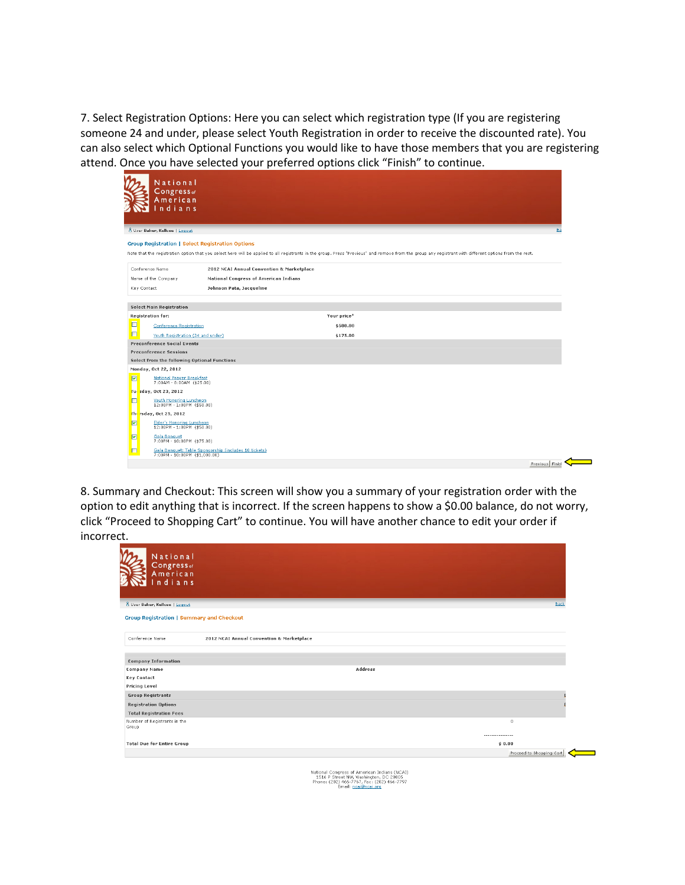7. Select Registration Options: Here you can select which registration type (If you are registering someone 24 and under, please select Youth Registration in order to receive the discounted rate). You can also select which Optional Functions you would like to have those members that you are registering attend. Once you have selected your preferred options click "Finish" to continue.

| National                                                                      |                                                                                                                                                                                                         |
|-------------------------------------------------------------------------------|---------------------------------------------------------------------------------------------------------------------------------------------------------------------------------------------------------|
| Congress <sub>of</sub>                                                        |                                                                                                                                                                                                         |
| American                                                                      |                                                                                                                                                                                                         |
| ndians                                                                        |                                                                                                                                                                                                         |
|                                                                               |                                                                                                                                                                                                         |
| 8 User Baker, Kellcee   Logout                                                | Ba                                                                                                                                                                                                      |
| <b>Group Registration   Select Registration Options</b>                       |                                                                                                                                                                                                         |
|                                                                               | Note that the registration option that you select here will be applied to all registrants in the group. Press "Previous" and remove from the group any registrant with different options from the rest. |
| Conference Name                                                               | 2012 NCAI Annual Convention & Marketplace                                                                                                                                                               |
| Name of the Company                                                           | National Congress of American Indians                                                                                                                                                                   |
| Key Contact                                                                   | Johnson Pata, Jacqueline                                                                                                                                                                                |
| <b>Select Main Registration</b>                                               |                                                                                                                                                                                                         |
| Registration for:                                                             | Your price*                                                                                                                                                                                             |
| ◘<br>Conference Registration                                                  | \$500.00                                                                                                                                                                                                |
| O<br>Youth Registration (24 and under)                                        | \$175.00                                                                                                                                                                                                |
| <b>Preconference Social Events</b>                                            |                                                                                                                                                                                                         |
| <b>Preconference Sessions</b><br>Select from the following Optional Functions |                                                                                                                                                                                                         |
| Monday, Oct 22, 2012                                                          |                                                                                                                                                                                                         |
| 図<br><b>National Prayer Breakfast</b>                                         |                                                                                                                                                                                                         |
| 7:00AM - 8:00AM (\$25.00)                                                     |                                                                                                                                                                                                         |
| <b>Fur sday, Oct 23, 2012</b><br>O<br>Youth Honoring Luncheon                 |                                                                                                                                                                                                         |
| $12:00PM - 1:00PM$ (\$50.00)                                                  |                                                                                                                                                                                                         |
| The rsday, Oct 25, 2012                                                       |                                                                                                                                                                                                         |
| ⊡<br>Elder's Honoring Luncheon<br>12:00PM - 1:00PM (\$50.00)                  |                                                                                                                                                                                                         |
| ☑<br>Gala Banquet<br>7:00PM - 10:00PM (\$75.00)                               |                                                                                                                                                                                                         |
| ◘<br>7:00PM - 10:00PM (\$1,000.00)                                            | Gala Banquet: Table Sponsorship (includes 10 tickets)                                                                                                                                                   |
|                                                                               | Previous Finish                                                                                                                                                                                         |

8. Summary and Checkout: This screen will show you a summary of your registration order with the option to edit anything that is incorrect. If the screen happens to show a \$0.00 balance, do not worry, click "Proceed to Shopping Cart" to continue. You will have another chance to edit your order if incorrect.

| National<br>Congress <sub>of</sub><br>American<br>ndians |                                                                                                                                                              |
|----------------------------------------------------------|--------------------------------------------------------------------------------------------------------------------------------------------------------------|
| 8 User Baker, Kellcee   Logout                           | Back                                                                                                                                                         |
| <b>Group Registration   Summary and Checkout</b>         |                                                                                                                                                              |
| Conference Name                                          | 2012 NCAI Annual Convention & Marketplace                                                                                                                    |
| <b>Company Information</b>                               |                                                                                                                                                              |
| <b>Company Name</b>                                      | <b>Address</b>                                                                                                                                               |
| <b>Key Contact</b>                                       |                                                                                                                                                              |
| <b>Pricing Level</b>                                     |                                                                                                                                                              |
| <b>Group Registrants</b>                                 |                                                                                                                                                              |
| <b>Registration Options</b>                              |                                                                                                                                                              |
| <b>Total Registration Fees</b>                           |                                                                                                                                                              |
| Number of Registrants in the<br>Group                    | $\,0\,$                                                                                                                                                      |
| <b>Total Due for Entire Group</b>                        | ----------------<br>\$0.00                                                                                                                                   |
|                                                          | Proceed to Shopping Cart                                                                                                                                     |
|                                                          | National Congress of American Indians (NCAI)<br>1516 P Street NW, Washington, DC 20005<br>Phone: (202) 466-7767, Fax: (202) 466-7797<br>Email: ncai@ncai.org |